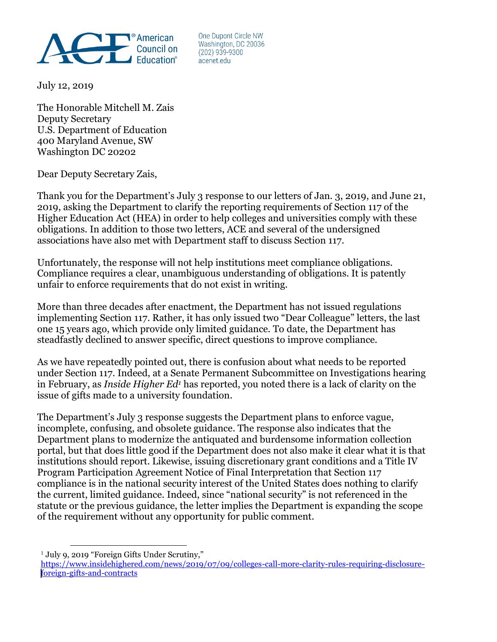

One Dupont Circle NW Washington, DC 20036  $(202)$  939-9300 acenet edu

July 12, 2019

The Honorable Mitchell M. Zais Deputy Secretary U.S. Department of Education 400 Maryland Avenue, SW Washington DC 20202

Dear Deputy Secretary Zais,

Thank you for the Department's July 3 response to our letters of Jan. 3, 2019, and June 21, 2019, asking the Department to clarify the reporting requirements of Section 117 of the Higher Education Act (HEA) in order to help colleges and universities comply with these obligations. In addition to those two letters, ACE and several of the undersigned associations have also met with Department staff to discuss Section 117.

Unfortunately, the response will not help institutions meet compliance obligations. Compliance requires a clear, unambiguous understanding of obligations. It is patently unfair to enforce requirements that do not exist in writing.

More than three decades after enactment, the Department has not issued regulations implementing Section 117. Rather, it has only issued two "Dear Colleague" letters, the last one 15 years ago, which provide only limited guidance. To date, the Department has steadfastly declined to answer specific, direct questions to improve compliance.

As we have repeatedly pointed out, there is confusion about what needs to be reported under Section 117. Indeed, at a Senate Permanent Subcommittee on Investigations hearing in February, as *Inside Higher Ed<sup>1</sup>* has reported, you noted there is a lack of clarity on the issue of gifts made to a university foundation.

The Department's July 3 response suggests the Department plans to enforce vague, incomplete, confusing, and obsolete guidance. The response also indicates that the Department plans to modernize the antiquated and burdensome information collection portal, but that does little good if the Department does not also make it clear what it is that institutions should report. Likewise, issuing discretionary grant conditions and a Title IV Program Participation Agreement Notice of Final Interpretation that Section 117 compliance is in the national security interest of the United States does nothing to clarify the current, limited guidance. Indeed, since "national security" is not referenced in the statute or the previous guidance, the letter implies the Department is expanding the scope of the requirement without any opportunity for public comment.

 $\overline{a}$ <sup>1</sup> July 9, 2019 "Foreign Gifts Under Scrutiny,"

[https://www.insidehighered.com/news/2019/07/09/colleges-call-more-clarity-rules-requiring-disclosure](https://www.insidehighered.com/news/2019/07/09/colleges-call-more-clarity-rules-requiring-disclosure-foreign-gifts-and-contracts)[foreign-gifts-and-contracts](https://www.insidehighered.com/news/2019/07/09/colleges-call-more-clarity-rules-requiring-disclosure-foreign-gifts-and-contracts)